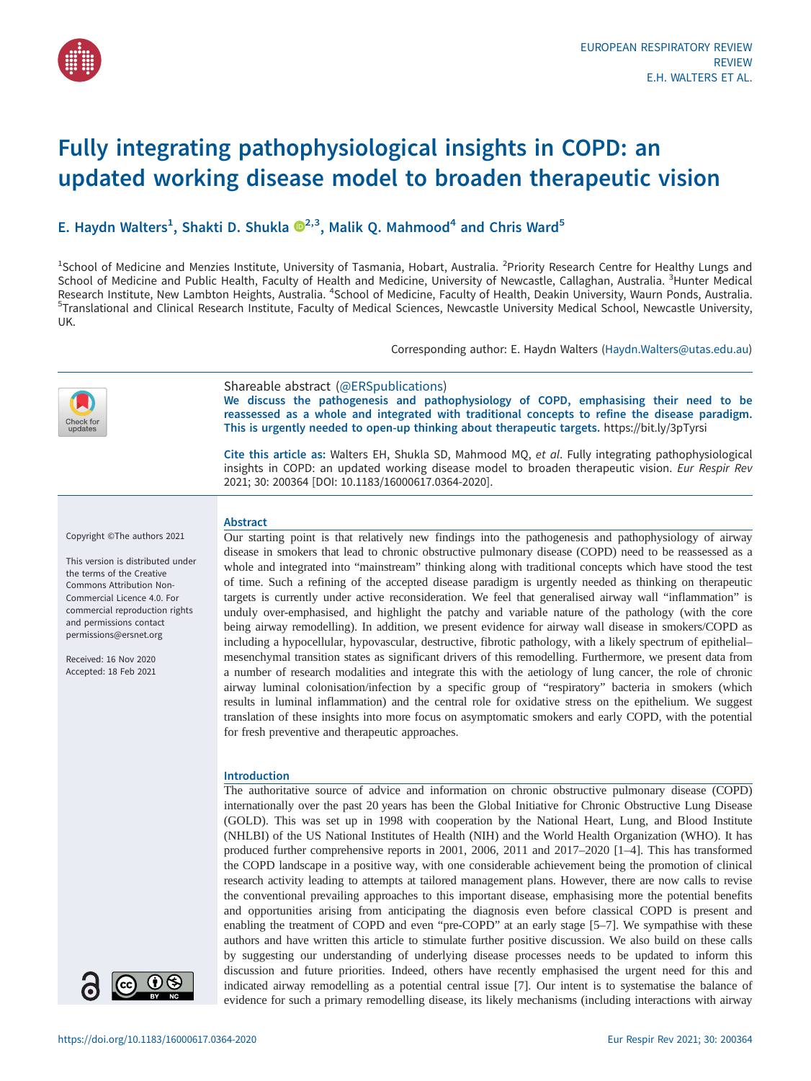

# Fully integrating pathophysiological insights in COPD: an updated working disease model to broaden therapeutic vision

# E. Haydn Walters<sup>1</sup>, Shakti D. Shukla  $\mathbb{D}^{2,3}$ , Malik Q. Mahmood<sup>4</sup> and Chris Ward<sup>5</sup>

<sup>1</sup>School of Medicine and Menzies Institute, University of Tasmania, Hobart, Australia. <sup>2</sup>Priority Research Centre for Healthy Lungs and School of Medicine and Public Health, Faculty of Health and Medicine, University of Newcastle, Callaghan, Australia. <sup>3</sup>Hunter Medical Research Institute, New Lambton Heights, Australia. <sup>4</sup>School of Medicine, Faculty of Health, Deakin University, Waurn Ponds, Australia.<br><sup>5</sup>Translational and Clinical Pesearch Institute, Faculty of Medical Sciences, Newcas <sup>5</sup>Translational and Clinical Research Institute, Faculty of Medical Sciences, Newcastle University Medical School, Newcastle University, UK.

Corresponding author: E. Haydn Walters ([Haydn.Walters@utas.edu.au](mailto:Haydn.Walters@utas.edu.au))



Shareable abstract (@ERSpublications) We discuss the pathogenesis and pathophysiology of COPD, emphasising their need to be reassessed as a whole and integrated with traditional concepts to refine the disease paradigm. This is urgently needed to open-up thinking about therapeutic targets. <https://bit.ly/3pTyrsi>

Cite this article as: Walters EH, Shukla SD, Mahmood MQ, et al. Fully integrating pathophysiological insights in COPD: an updated working disease model to broaden therapeutic vision. Eur Respir Rev 2021; 30: 200364 [\[DOI: 10.1183/16000617.0364-2020\].](https://doi.org/10.1183/16000617.0364-2020)

Copyright ©The authors 2021

This version is distributed under the terms of the Creative Commons Attribution Non-Commercial Licence 4.0. For commercial reproduction rights and permissions contact [permissions@ersnet.org](mailto:permissions@ersnet.org)

Received: 16 Nov 2020 Accepted: 18 Feb 2021



## Abstract

Our starting point is that relatively new findings into the pathogenesis and pathophysiology of airway disease in smokers that lead to chronic obstructive pulmonary disease (COPD) need to be reassessed as a whole and integrated into "mainstream" thinking along with traditional concepts which have stood the test of time. Such a refining of the accepted disease paradigm is urgently needed as thinking on therapeutic targets is currently under active reconsideration. We feel that generalised airway wall "inflammation" is unduly over-emphasised, and highlight the patchy and variable nature of the pathology (with the core being airway remodelling). In addition, we present evidence for airway wall disease in smokers/COPD as including a hypocellular, hypovascular, destructive, fibrotic pathology, with a likely spectrum of epithelial– mesenchymal transition states as significant drivers of this remodelling. Furthermore, we present data from a number of research modalities and integrate this with the aetiology of lung cancer, the role of chronic airway luminal colonisation/infection by a specific group of "respiratory" bacteria in smokers (which results in luminal inflammation) and the central role for oxidative stress on the epithelium. We suggest translation of these insights into more focus on asymptomatic smokers and early COPD, with the potential for fresh preventive and therapeutic approaches.

#### Introduction

The authoritative source of advice and information on chronic obstructive pulmonary disease (COPD) internationally over the past 20 years has been the Global Initiative for Chronic Obstructive Lung Disease (GOLD). This was set up in 1998 with cooperation by the National Heart, Lung, and Blood Institute (NHLBI) of the US National Institutes of Health (NIH) and the World Health Organization (WHO). It has produced further comprehensive reports in 2001, 2006, 2011 and 2017–2020 [[1](#page-10-0)–[4](#page-10-0)]. This has transformed the COPD landscape in a positive way, with one considerable achievement being the promotion of clinical research activity leading to attempts at tailored management plans. However, there are now calls to revise the conventional prevailing approaches to this important disease, emphasising more the potential benefits and opportunities arising from anticipating the diagnosis even before classical COPD is present and enabling the treatment of COPD and even "pre-COPD" at an early stage [\[5](#page-10-0)-[7\]](#page-10-0). We sympathise with these authors and have written this article to stimulate further positive discussion. We also build on these calls by suggesting our understanding of underlying disease processes needs to be updated to inform this discussion and future priorities. Indeed, others have recently emphasised the urgent need for this and indicated airway remodelling as a potential central issue [[7](#page-10-0)]. Our intent is to systematise the balance of evidence for such a primary remodelling disease, its likely mechanisms (including interactions with airway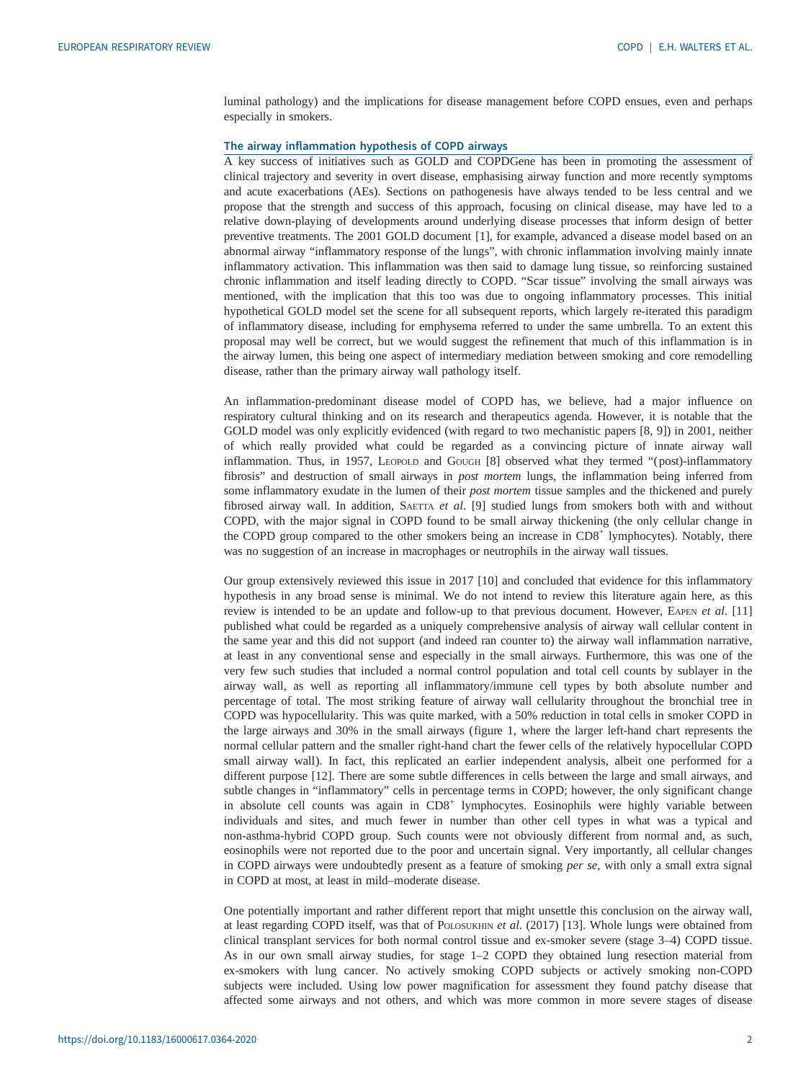luminal pathology) and the implications for disease management before COPD ensues, even and perhaps especially in smokers.

#### The airway inflammation hypothesis of COPD airways

A key success of initiatives such as GOLD and COPDGene has been in promoting the assessment of clinical trajectory and severity in overt disease, emphasising airway function and more recently symptoms and acute exacerbations (AEs). Sections on pathogenesis have always tended to be less central and we propose that the strength and success of this approach, focusing on clinical disease, may have led to a relative down-playing of developments around underlying disease processes that inform design of better preventive treatments. The 2001 GOLD document [\[1\]](#page-10-0), for example, advanced a disease model based on an abnormal airway "inflammatory response of the lungs", with chronic inflammation involving mainly innate inflammatory activation. This inflammation was then said to damage lung tissue, so reinforcing sustained chronic inflammation and itself leading directly to COPD. "Scar tissue" involving the small airways was mentioned, with the implication that this too was due to ongoing inflammatory processes. This initial hypothetical GOLD model set the scene for all subsequent reports, which largely re-iterated this paradigm of inflammatory disease, including for emphysema referred to under the same umbrella. To an extent this proposal may well be correct, but we would suggest the refinement that much of this inflammation is in the airway lumen, this being one aspect of intermediary mediation between smoking and core remodelling disease, rather than the primary airway wall pathology itself.

An inflammation-predominant disease model of COPD has, we believe, had a major influence on respiratory cultural thinking and on its research and therapeutics agenda. However, it is notable that the GOLD model was only explicitly evidenced (with regard to two mechanistic papers [\[8](#page-10-0), [9\]](#page-10-0)) in 2001, neither of which really provided what could be regarded as a convincing picture of innate airway wall inflammation. Thus, in 1957, LEOPOLD and GOUGH [\[8](#page-10-0)] observed what they termed "(post)-inflammatory fibrosis" and destruction of small airways in post mortem lungs, the inflammation being inferred from some inflammatory exudate in the lumen of their post mortem tissue samples and the thickened and purely fibrosed airway wall. In addition, SAETTA et al.  $[9]$  studied lungs from smokers both with and without COPD, with the major signal in COPD found to be small airway thickening (the only cellular change in the COPD group compared to the other smokers being an increase in CD8<sup>+</sup> lymphocytes). Notably, there was no suggestion of an increase in macrophages or neutrophils in the airway wall tissues.

Our group extensively reviewed this issue in 2017 [[10\]](#page-10-0) and concluded that evidence for this inflammatory hypothesis in any broad sense is minimal. We do not intend to review this literature again here, as this review is intended to be an update and follow-up to that previous document. However, EAPEN et al. [[11\]](#page-10-0) published what could be regarded as a uniquely comprehensive analysis of airway wall cellular content in the same year and this did not support (and indeed ran counter to) the airway wall inflammation narrative, at least in any conventional sense and especially in the small airways. Furthermore, this was one of the very few such studies that included a normal control population and total cell counts by sublayer in the airway wall, as well as reporting all inflammatory/immune cell types by both absolute number and percentage of total. The most striking feature of airway wall cellularity throughout the bronchial tree in COPD was hypocellularity. This was quite marked, with a 50% reduction in total cells in smoker COPD in the large airways and 30% in the small airways ([figure 1](#page-2-0), where the larger left-hand chart represents the normal cellular pattern and the smaller right-hand chart the fewer cells of the relatively hypocellular COPD small airway wall). In fact, this replicated an earlier independent analysis, albeit one performed for a different purpose [[12\]](#page-10-0). There are some subtle differences in cells between the large and small airways, and subtle changes in "inflammatory" cells in percentage terms in COPD; however, the only significant change in absolute cell counts was again in CD8<sup>+</sup> lymphocytes. Eosinophils were highly variable between individuals and sites, and much fewer in number than other cell types in what was a typical and non-asthma-hybrid COPD group. Such counts were not obviously different from normal and, as such, eosinophils were not reported due to the poor and uncertain signal. Very importantly, all cellular changes in COPD airways were undoubtedly present as a feature of smoking per se, with only a small extra signal in COPD at most, at least in mild–moderate disease.

One potentially important and rather different report that might unsettle this conclusion on the airway wall, at least regarding COPD itself, was that of POLOSUKHIN et al. (2017) [\[13](#page-10-0)]. Whole lungs were obtained from clinical transplant services for both normal control tissue and ex-smoker severe (stage 3–4) COPD tissue. As in our own small airway studies, for stage 1–2 COPD they obtained lung resection material from ex-smokers with lung cancer. No actively smoking COPD subjects or actively smoking non-COPD subjects were included. Using low power magnification for assessment they found patchy disease that affected some airways and not others, and which was more common in more severe stages of disease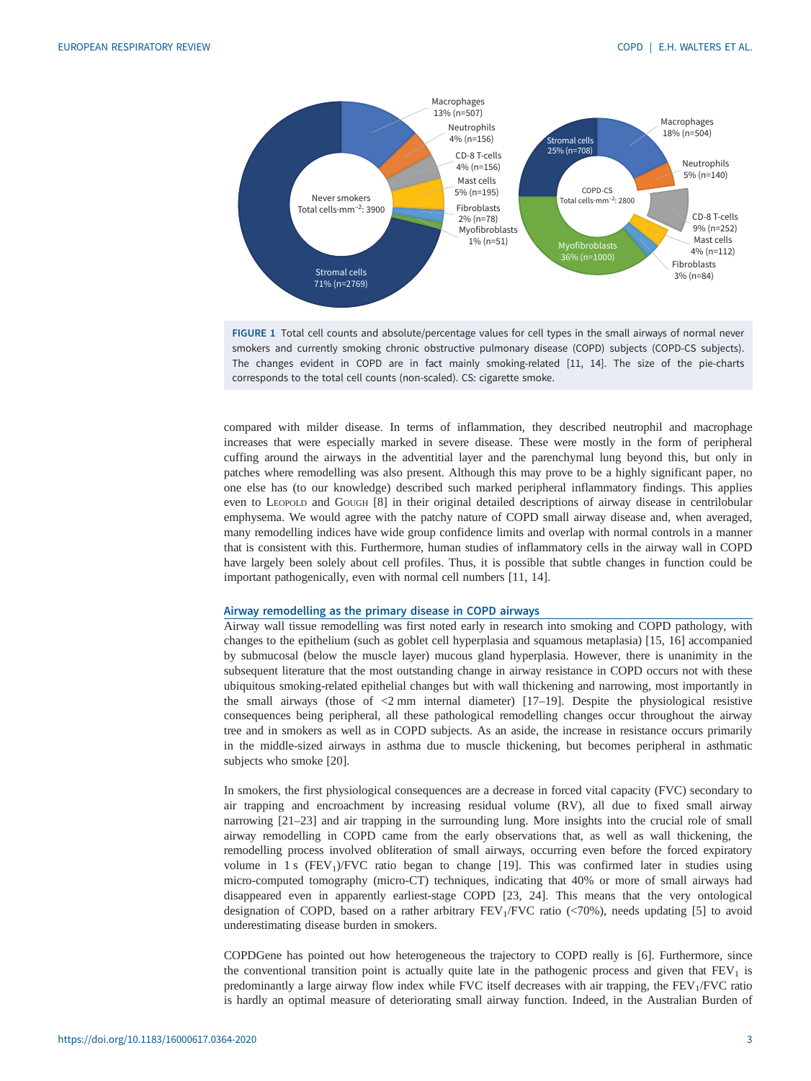<span id="page-2-0"></span>

FIGURE 1 Total cell counts and absolute/percentage values for cell types in the small airways of normal never smokers and currently smoking chronic obstructive pulmonary disease (COPD) subjects (COPD-CS subjects). The changes evident in COPD are in fact mainly smoking-related [[11, 14](#page-10-0)]. The size of the pie-charts corresponds to the total cell counts (non-scaled). CS: cigarette smoke.

compared with milder disease. In terms of inflammation, they described neutrophil and macrophage increases that were especially marked in severe disease. These were mostly in the form of peripheral cuffing around the airways in the adventitial layer and the parenchymal lung beyond this, but only in patches where remodelling was also present. Although this may prove to be a highly significant paper, no one else has (to our knowledge) described such marked peripheral inflammatory findings. This applies even to LEOPOLD and GOUGH [\[8\]](#page-10-0) in their original detailed descriptions of airway disease in centrilobular emphysema. We would agree with the patchy nature of COPD small airway disease and, when averaged, many remodelling indices have wide group confidence limits and overlap with normal controls in a manner that is consistent with this. Furthermore, human studies of inflammatory cells in the airway wall in COPD have largely been solely about cell profiles. Thus, it is possible that subtle changes in function could be important pathogenically, even with normal cell numbers [\[11](#page-10-0), [14](#page-10-0)].

#### Airway remodelling as the primary disease in COPD airways

Airway wall tissue remodelling was first noted early in research into smoking and COPD pathology, with changes to the epithelium (such as goblet cell hyperplasia and squamous metaplasia) [\[15](#page-10-0), [16](#page-10-0)] accompanied by submucosal (below the muscle layer) mucous gland hyperplasia. However, there is unanimity in the subsequent literature that the most outstanding change in airway resistance in COPD occurs not with these ubiquitous smoking-related epithelial changes but with wall thickening and narrowing, most importantly in the small airways (those of <2 mm internal diameter) [[17](#page-10-0)–[19](#page-10-0)]. Despite the physiological resistive consequences being peripheral, all these pathological remodelling changes occur throughout the airway tree and in smokers as well as in COPD subjects. As an aside, the increase in resistance occurs primarily in the middle-sized airways in asthma due to muscle thickening, but becomes peripheral in asthmatic subjects who smoke [[20\]](#page-10-0).

In smokers, the first physiological consequences are a decrease in forced vital capacity (FVC) secondary to air trapping and encroachment by increasing residual volume (RV), all due to fixed small airway narrowing [\[21](#page-10-0)–[23\]](#page-10-0) and air trapping in the surrounding lung. More insights into the crucial role of small airway remodelling in COPD came from the early observations that, as well as wall thickening, the remodelling process involved obliteration of small airways, occurring even before the forced expiratory volume in 1 s (FEV<sub>1</sub>)/FVC ratio began to change [\[19](#page-10-0)]. This was confirmed later in studies using micro-computed tomography (micro-CT) techniques, indicating that 40% or more of small airways had disappeared even in apparently earliest-stage COPD [\[23](#page-10-0), [24\]](#page-10-0). This means that the very ontological designation of COPD, based on a rather arbitrary  $FEV<sub>1</sub>/FVC$  ratio (<70%), needs updating [\[5\]](#page-10-0) to avoid underestimating disease burden in smokers.

COPDGene has pointed out how heterogeneous the trajectory to COPD really is [\[6\]](#page-10-0). Furthermore, since the conventional transition point is actually quite late in the pathogenic process and given that  $FEV<sub>1</sub>$  is predominantly a large airway flow index while FVC itself decreases with air trapping, the  $FEV<sub>1</sub>/FVC$  ratio is hardly an optimal measure of deteriorating small airway function. Indeed, in the Australian Burden of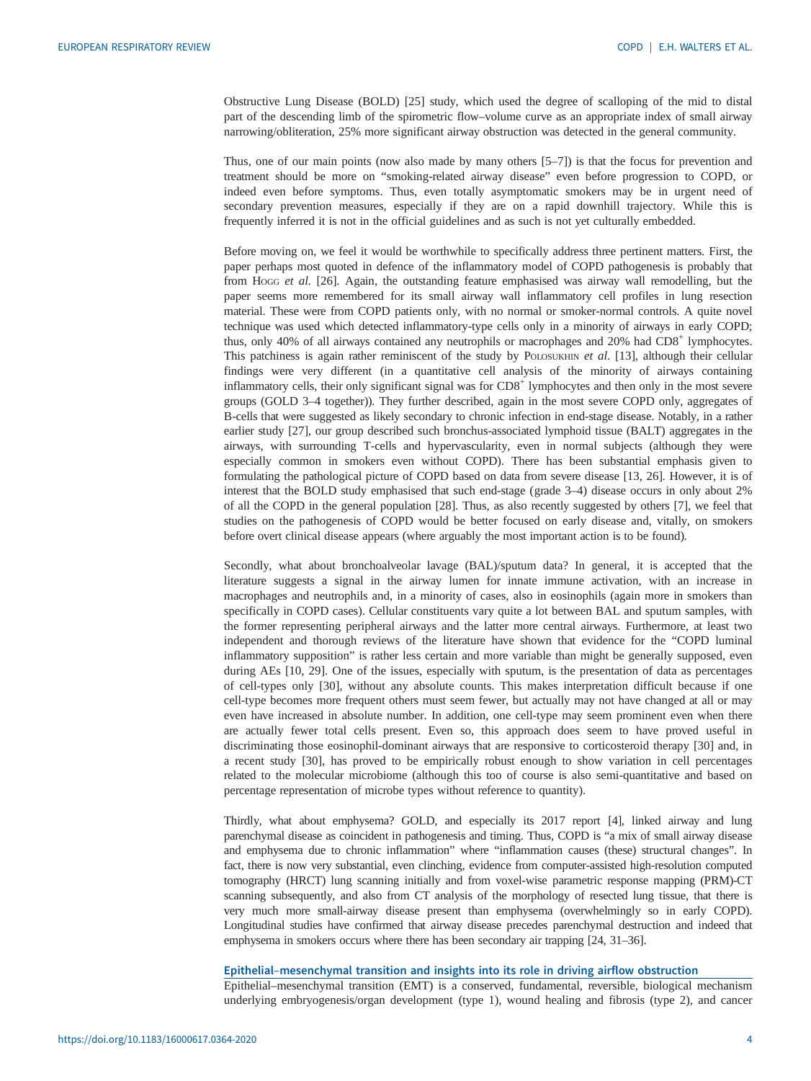Obstructive Lung Disease (BOLD) [\[25](#page-10-0)] study, which used the degree of scalloping of the mid to distal part of the descending limb of the spirometric flow–volume curve as an appropriate index of small airway narrowing/obliteration, 25% more significant airway obstruction was detected in the general community.

Thus, one of our main points (now also made by many others [[5](#page-10-0)–[7](#page-10-0)]) is that the focus for prevention and treatment should be more on "smoking-related airway disease" even before progression to COPD, or indeed even before symptoms. Thus, even totally asymptomatic smokers may be in urgent need of secondary prevention measures, especially if they are on a rapid downhill trajectory. While this is frequently inferred it is not in the official guidelines and as such is not yet culturally embedded.

Before moving on, we feel it would be worthwhile to specifically address three pertinent matters. First, the paper perhaps most quoted in defence of the inflammatory model of COPD pathogenesis is probably that from Hogg et al. [[26](#page-10-0)]. Again, the outstanding feature emphasised was airway wall remodelling, but the paper seems more remembered for its small airway wall inflammatory cell profiles in lung resection material. These were from COPD patients only, with no normal or smoker-normal controls. A quite novel technique was used which detected inflammatory-type cells only in a minority of airways in early COPD; thus, only 40% of all airways contained any neutrophils or macrophages and 20% had CD8<sup>+</sup> lymphocytes. This patchiness is again rather reminiscent of the study by POLOSUKHIN *et al.* [[13\]](#page-10-0), although their cellular findings were very different (in a quantitative cell analysis of the minority of airways containing inflammatory cells, their only significant signal was for  $CDB<sup>+</sup>$  lymphocytes and then only in the most severe groups (GOLD 3–4 together)). They further described, again in the most severe COPD only, aggregates of B-cells that were suggested as likely secondary to chronic infection in end-stage disease. Notably, in a rather earlier study [[27\]](#page-10-0), our group described such bronchus-associated lymphoid tissue (BALT) aggregates in the airways, with surrounding T-cells and hypervascularity, even in normal subjects (although they were especially common in smokers even without COPD). There has been substantial emphasis given to formulating the pathological picture of COPD based on data from severe disease [[13, 26\]](#page-10-0). However, it is of interest that the BOLD study emphasised that such end-stage (grade 3–4) disease occurs in only about 2% of all the COPD in the general population [[28\]](#page-10-0). Thus, as also recently suggested by others [\[7](#page-10-0)], we feel that studies on the pathogenesis of COPD would be better focused on early disease and, vitally, on smokers before overt clinical disease appears (where arguably the most important action is to be found).

Secondly, what about bronchoalveolar lavage (BAL)/sputum data? In general, it is accepted that the literature suggests a signal in the airway lumen for innate immune activation, with an increase in macrophages and neutrophils and, in a minority of cases, also in eosinophils (again more in smokers than specifically in COPD cases). Cellular constituents vary quite a lot between BAL and sputum samples, with the former representing peripheral airways and the latter more central airways. Furthermore, at least two independent and thorough reviews of the literature have shown that evidence for the "COPD luminal inflammatory supposition" is rather less certain and more variable than might be generally supposed, even during AEs [\[10](#page-10-0), [29\]](#page-11-0). One of the issues, especially with sputum, is the presentation of data as percentages of cell-types only [\[30\]](#page-11-0), without any absolute counts. This makes interpretation difficult because if one cell-type becomes more frequent others must seem fewer, but actually may not have changed at all or may even have increased in absolute number. In addition, one cell-type may seem prominent even when there are actually fewer total cells present. Even so, this approach does seem to have proved useful in discriminating those eosinophil-dominant airways that are responsive to corticosteroid therapy [[30\]](#page-11-0) and, in a recent study [[30\]](#page-11-0), has proved to be empirically robust enough to show variation in cell percentages related to the molecular microbiome (although this too of course is also semi-quantitative and based on percentage representation of microbe types without reference to quantity).

Thirdly, what about emphysema? GOLD, and especially its 2017 report [[4\]](#page-10-0), linked airway and lung parenchymal disease as coincident in pathogenesis and timing. Thus, COPD is "a mix of small airway disease and emphysema due to chronic inflammation" where "inflammation causes (these) structural changes". In fact, there is now very substantial, even clinching, evidence from computer-assisted high-resolution computed tomography (HRCT) lung scanning initially and from voxel-wise parametric response mapping (PRM)-CT scanning subsequently, and also from CT analysis of the morphology of resected lung tissue, that there is very much more small-airway disease present than emphysema (overwhelmingly so in early COPD). Longitudinal studies have confirmed that airway disease precedes parenchymal destruction and indeed that emphysema in smokers occurs where there has been secondary air trapping [\[24](#page-10-0), [31](#page-11-0)–[36\]](#page-11-0).

#### Epithelial–mesenchymal transition and insights into its role in driving airflow obstruction

Epithelial–mesenchymal transition (EMT) is a conserved, fundamental, reversible, biological mechanism underlying embryogenesis/organ development (type 1), wound healing and fibrosis (type 2), and cancer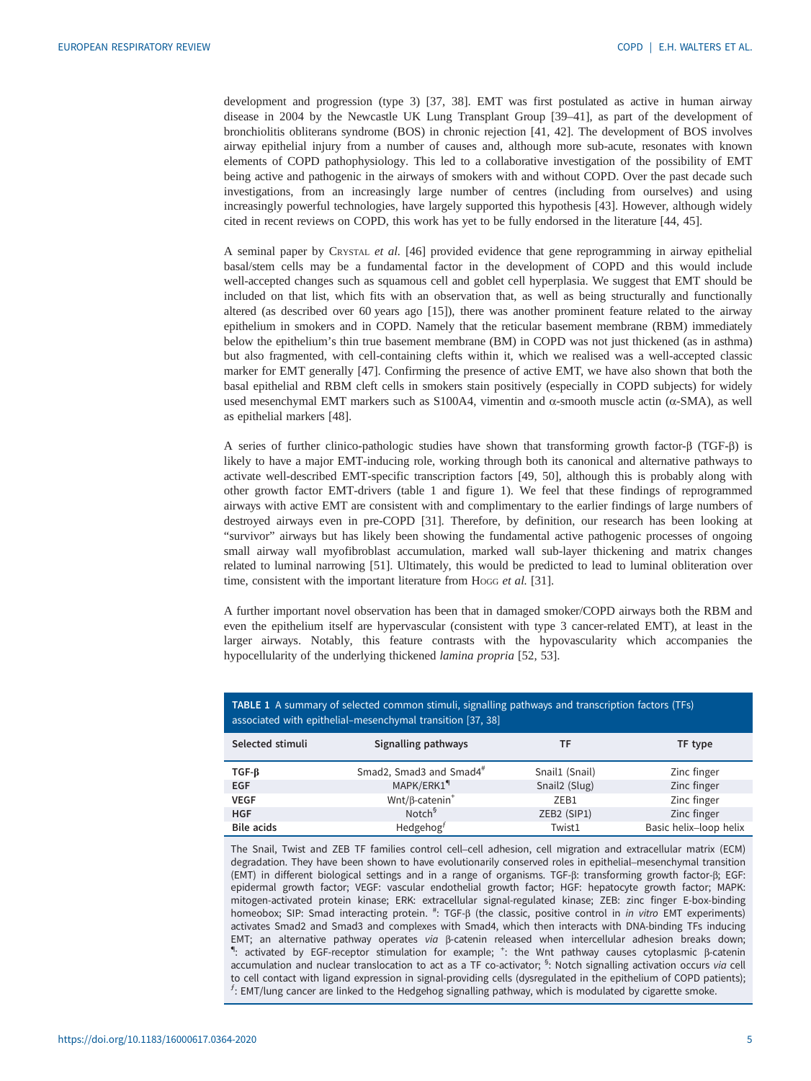<span id="page-4-0"></span>development and progression (type 3) [[37, 38\]](#page-11-0). EMT was first postulated as active in human airway disease in 2004 by the Newcastle UK Lung Transplant Group [[39](#page-11-0)–[41](#page-11-0)], as part of the development of bronchiolitis obliterans syndrome (BOS) in chronic rejection [[41, 42](#page-11-0)]. The development of BOS involves airway epithelial injury from a number of causes and, although more sub-acute, resonates with known elements of COPD pathophysiology. This led to a collaborative investigation of the possibility of EMT being active and pathogenic in the airways of smokers with and without COPD. Over the past decade such investigations, from an increasingly large number of centres (including from ourselves) and using increasingly powerful technologies, have largely supported this hypothesis [\[43](#page-11-0)]. However, although widely cited in recent reviews on COPD, this work has yet to be fully endorsed in the literature [[44, 45\]](#page-11-0).

A seminal paper by CRYSTAL et al. [[46\]](#page-11-0) provided evidence that gene reprogramming in airway epithelial basal/stem cells may be a fundamental factor in the development of COPD and this would include well-accepted changes such as squamous cell and goblet cell hyperplasia. We suggest that EMT should be included on that list, which fits with an observation that, as well as being structurally and functionally altered (as described over 60 years ago [\[15](#page-10-0)]), there was another prominent feature related to the airway epithelium in smokers and in COPD. Namely that the reticular basement membrane (RBM) immediately below the epithelium's thin true basement membrane (BM) in COPD was not just thickened (as in asthma) but also fragmented, with cell-containing clefts within it, which we realised was a well-accepted classic marker for EMT generally [[47\]](#page-11-0). Confirming the presence of active EMT, we have also shown that both the basal epithelial and RBM cleft cells in smokers stain positively (especially in COPD subjects) for widely used mesenchymal EMT markers such as S100A4, vimentin and  $\alpha$ -smooth muscle actin ( $\alpha$ -SMA), as well as epithelial markers [\[48](#page-11-0)].

A series of further clinico-pathologic studies have shown that transforming growth factor-β (TGF-β) is likely to have a major EMT-inducing role, working through both its canonical and alternative pathways to activate well-described EMT-specific transcription factors [\[49](#page-11-0), [50\]](#page-11-0), although this is probably along with other growth factor EMT-drivers (table 1 and [figure 1](#page-2-0)). We feel that these findings of reprogrammed airways with active EMT are consistent with and complimentary to the earlier findings of large numbers of destroyed airways even in pre-COPD [\[31](#page-11-0)]. Therefore, by definition, our research has been looking at "survivor" airways but has likely been showing the fundamental active pathogenic processes of ongoing small airway wall myofibroblast accumulation, marked wall sub-layer thickening and matrix changes related to luminal narrowing [[51\]](#page-11-0). Ultimately, this would be predicted to lead to luminal obliteration over time, consistent with the important literature from Hogg et al. [\[31\]](#page-11-0).

A further important novel observation has been that in damaged smoker/COPD airways both the RBM and even the epithelium itself are hypervascular (consistent with type 3 cancer-related EMT), at least in the larger airways. Notably, this feature contrasts with the hypovascularity which accompanies the hypocellularity of the underlying thickened *lamina propria* [\[52](#page-11-0), [53](#page-11-0)].

| associated with epithelial-mesenchymal transition [37, 38] |                                   |                           |                        |
|------------------------------------------------------------|-----------------------------------|---------------------------|------------------------|
| Selected stimuli                                           | Signalling pathways               | ΤF                        | TF type                |
| $TGF-B$                                                    | Smad2, Smad3 and Smad4#           | Snail1 (Snail)            | Zinc finger            |
| <b>EGF</b>                                                 | MAPK/ERK1 <sup>9</sup>            | Snail <sub>2</sub> (Slug) | Zinc finger            |
| <b>VEGF</b>                                                | $Wnt/\beta$ -catenin <sup>+</sup> | ZEB1                      | Zinc finger            |
| <b>HGF</b>                                                 | Notch <sup>§</sup>                | ZEB2 (SIP1)               | Zinc finger            |
| <b>Bile acids</b>                                          | Hedgehog $f$                      | Twist1                    | Basic helix-loop helix |

TABLE 1 A summary of selected common stimuli, signalling pathways and transcription factors (TFs)

The Snail, Twist and ZEB TF families control cell–cell adhesion, cell migration and extracellular matrix (ECM) degradation. They have been shown to have evolutionarily conserved roles in epithelial–mesenchymal transition (EMT) in different biological settings and in a range of organisms. TGF-β: transforming growth factor-β; EGF: epidermal growth factor; VEGF: vascular endothelial growth factor; HGF: hepatocyte growth factor; MAPK: mitogen-activated protein kinase; ERK: extracellular signal-regulated kinase; ZEB: zinc finger E-box-binding homeobox; SIP: Smad interacting protein. <sup>#</sup>: TGF-β (the classic, positive control in *in vitro* EMT experiments) activates Smad2 and Smad3 and complexes with Smad4, which then interacts with DNA-binding TFs inducing EMT; an alternative pathway operates via β-catenin released when intercellular adhesion breaks down; : activated by EGF-receptor stimulation for example; <sup>+</sup>: the Wnt pathway causes cytoplasmic β-catenin accumulation and nuclear translocation to act as a TF co-activator; <sup>§</sup>: Notch signalling activation occurs via cell to cell contact with ligand expression in signal-providing cells (dysregulated in the epithelium of COPD patients);  $f$ : EMT/lung cancer are linked to the Hedgehog signalling pathway, which is modulated by cigarette smoke.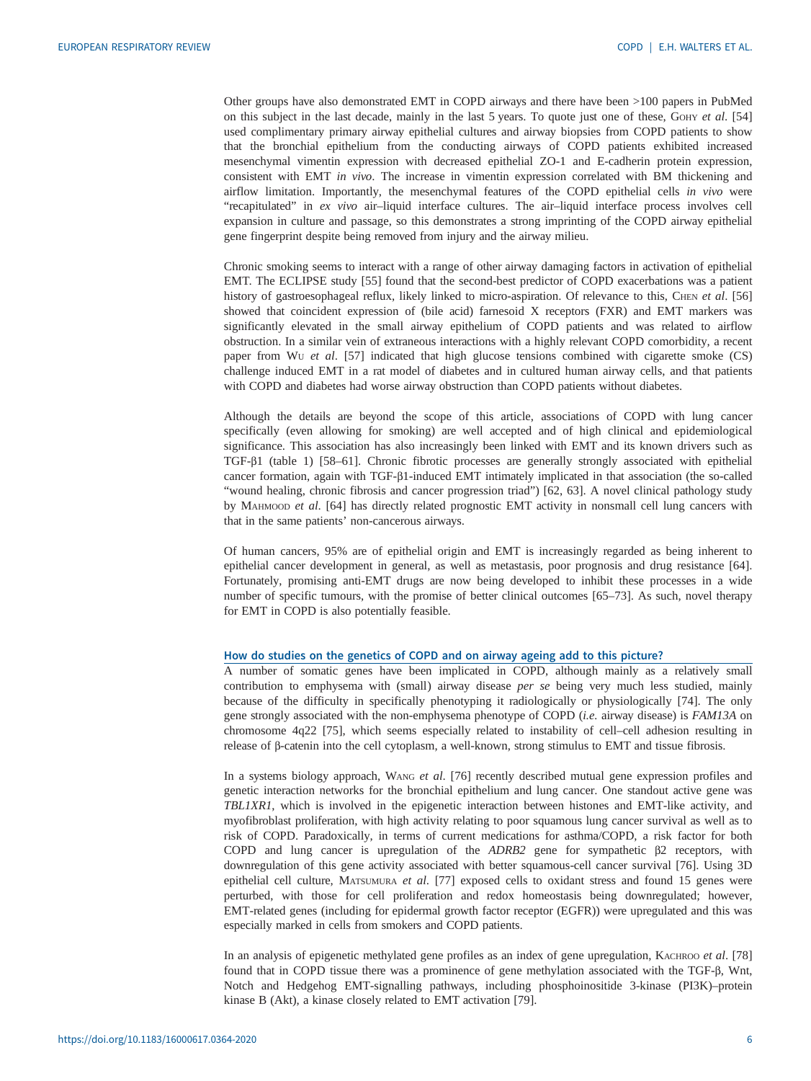Other groups have also demonstrated EMT in COPD airways and there have been >100 papers in PubMed on this subject in the last decade, mainly in the last 5 years. To quote just one of these, GOHY et al. [[54\]](#page-11-0) used complimentary primary airway epithelial cultures and airway biopsies from COPD patients to show that the bronchial epithelium from the conducting airways of COPD patients exhibited increased mesenchymal vimentin expression with decreased epithelial ZO-1 and E-cadherin protein expression, consistent with EMT in vivo. The increase in vimentin expression correlated with BM thickening and airflow limitation. Importantly, the mesenchymal features of the COPD epithelial cells in vivo were "recapitulated" in ex vivo air–liquid interface cultures. The air–liquid interface process involves cell expansion in culture and passage, so this demonstrates a strong imprinting of the COPD airway epithelial gene fingerprint despite being removed from injury and the airway milieu.

Chronic smoking seems to interact with a range of other airway damaging factors in activation of epithelial EMT. The ECLIPSE study [\[55](#page-11-0)] found that the second-best predictor of COPD exacerbations was a patient history of gastroesophageal reflux, likely linked to micro-aspiration. Of relevance to this, CHEN et al. [[56\]](#page-12-0) showed that coincident expression of (bile acid) farnesoid X receptors (FXR) and EMT markers was significantly elevated in the small airway epithelium of COPD patients and was related to airflow obstruction. In a similar vein of extraneous interactions with a highly relevant COPD comorbidity, a recent paper from Wu et al.  $[57]$  $[57]$  indicated that high glucose tensions combined with cigarette smoke (CS) challenge induced EMT in a rat model of diabetes and in cultured human airway cells, and that patients with COPD and diabetes had worse airway obstruction than COPD patients without diabetes.

Although the details are beyond the scope of this article, associations of COPD with lung cancer specifically (even allowing for smoking) are well accepted and of high clinical and epidemiological significance. This association has also increasingly been linked with EMT and its known drivers such as TGF-β1 ([table 1](#page-4-0)) [[58](#page-12-0)–[61](#page-12-0)]. Chronic fibrotic processes are generally strongly associated with epithelial cancer formation, again with TGF-β1-induced EMT intimately implicated in that association (the so-called "wound healing, chronic fibrosis and cancer progression triad") [\[62](#page-12-0), [63\]](#page-12-0). A novel clinical pathology study by MAHMOOD et al. [\[64](#page-12-0)] has directly related prognostic EMT activity in nonsmall cell lung cancers with that in the same patients' non-cancerous airways.

Of human cancers, 95% are of epithelial origin and EMT is increasingly regarded as being inherent to epithelial cancer development in general, as well as metastasis, poor prognosis and drug resistance [[64\]](#page-12-0). Fortunately, promising anti-EMT drugs are now being developed to inhibit these processes in a wide number of specific tumours, with the promise of better clinical outcomes [\[65](#page-12-0)–[73\]](#page-12-0). As such, novel therapy for EMT in COPD is also potentially feasible.

#### How do studies on the genetics of COPD and on airway ageing add to this picture?

A number of somatic genes have been implicated in COPD, although mainly as a relatively small contribution to emphysema with (small) airway disease per se being very much less studied, mainly because of the difficulty in specifically phenotyping it radiologically or physiologically [[74\]](#page-12-0). The only gene strongly associated with the non-emphysema phenotype of COPD (i.e. airway disease) is FAM13A on chromosome 4q22 [[75\]](#page-12-0), which seems especially related to instability of cell–cell adhesion resulting in release of β-catenin into the cell cytoplasm, a well-known, strong stimulus to EMT and tissue fibrosis.

In a systems biology approach, WANG et al. [[76](#page-12-0)] recently described mutual gene expression profiles and genetic interaction networks for the bronchial epithelium and lung cancer. One standout active gene was TBL1XR1, which is involved in the epigenetic interaction between histones and EMT-like activity, and myofibroblast proliferation, with high activity relating to poor squamous lung cancer survival as well as to risk of COPD. Paradoxically, in terms of current medications for asthma/COPD, a risk factor for both COPD and lung cancer is upregulation of the ADRB2 gene for sympathetic β2 receptors, with downregulation of this gene activity associated with better squamous-cell cancer survival [\[76](#page-12-0)]. Using 3D epithelial cell culture, MATSUMURA et al. [\[77](#page-12-0)] exposed cells to oxidant stress and found 15 genes were perturbed, with those for cell proliferation and redox homeostasis being downregulated; however, EMT-related genes (including for epidermal growth factor receptor (EGFR)) were upregulated and this was especially marked in cells from smokers and COPD patients.

In an analysis of epigenetic methylated gene profiles as an index of gene upregulation, KACHROO et al. [[78\]](#page-12-0) found that in COPD tissue there was a prominence of gene methylation associated with the TGF-β, Wnt, Notch and Hedgehog EMT-signalling pathways, including phosphoinositide 3-kinase (PI3K)–protein kinase B (Akt), a kinase closely related to EMT activation [\[79](#page-12-0)].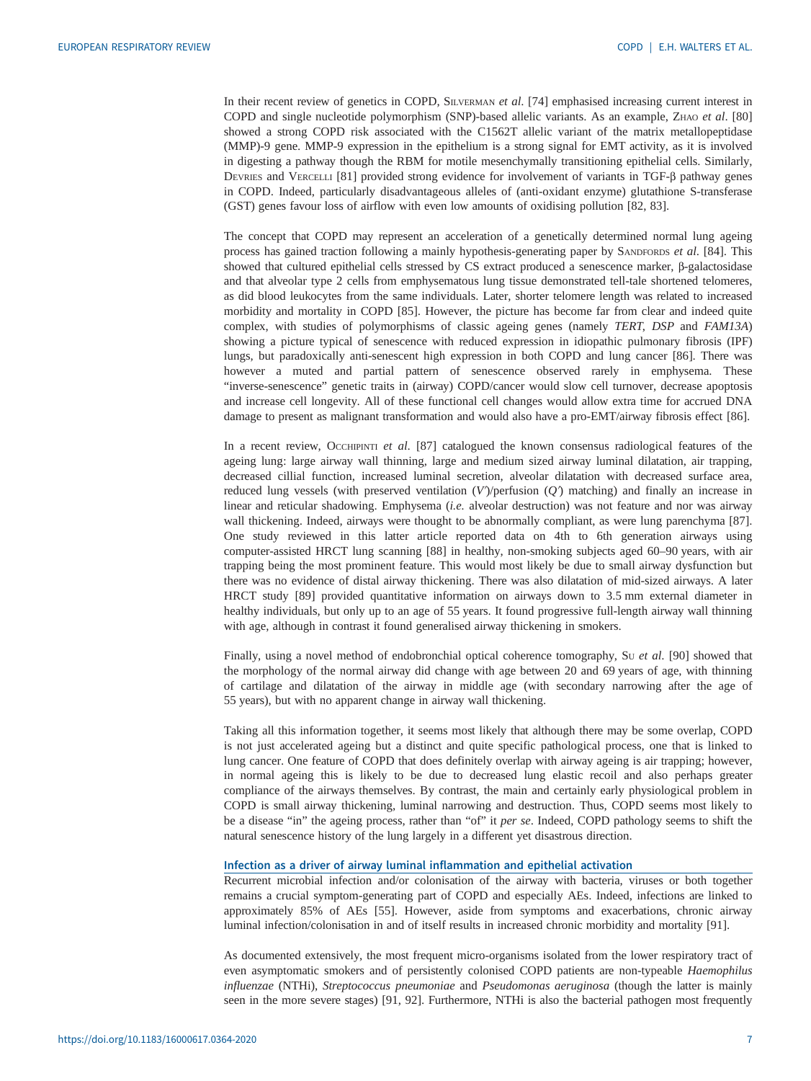In their recent review of genetics in COPD, SILVERMAN et al. [[74\]](#page-12-0) emphasised increasing current interest in COPD and single nucleotide polymorphism (SNP)-based allelic variants. As an example, ZHAO et al. [[80\]](#page-12-0) showed a strong COPD risk associated with the C1562T allelic variant of the matrix metallopeptidase (MMP)-9 gene. MMP-9 expression in the epithelium is a strong signal for EMT activity, as it is involved in digesting a pathway though the RBM for motile mesenchymally transitioning epithelial cells. Similarly, DEVRIES and VERCELLI [\[81](#page-12-0)] provided strong evidence for involvement of variants in TGF-β pathway genes in COPD. Indeed, particularly disadvantageous alleles of (anti-oxidant enzyme) glutathione S-transferase (GST) genes favour loss of airflow with even low amounts of oxidising pollution [[82, 83\]](#page-12-0).

The concept that COPD may represent an acceleration of a genetically determined normal lung ageing process has gained traction following a mainly hypothesis-generating paper by SANDFORDS et al. [[84\]](#page-12-0). This showed that cultured epithelial cells stressed by CS extract produced a senescence marker, β-galactosidase and that alveolar type 2 cells from emphysematous lung tissue demonstrated tell-tale shortened telomeres, as did blood leukocytes from the same individuals. Later, shorter telomere length was related to increased morbidity and mortality in COPD [[85\]](#page-12-0). However, the picture has become far from clear and indeed quite complex, with studies of polymorphisms of classic ageing genes (namely TERT, DSP and FAM13A) showing a picture typical of senescence with reduced expression in idiopathic pulmonary fibrosis (IPF) lungs, but paradoxically anti-senescent high expression in both COPD and lung cancer [[86\]](#page-13-0). There was however a muted and partial pattern of senescence observed rarely in emphysema. These "inverse-senescence" genetic traits in (airway) COPD/cancer would slow cell turnover, decrease apoptosis and increase cell longevity. All of these functional cell changes would allow extra time for accrued DNA damage to present as malignant transformation and would also have a pro-EMT/airway fibrosis effect [[86\]](#page-13-0).

In a recent review, OccHIPINTI et al. [[87\]](#page-13-0) catalogued the known consensus radiological features of the ageing lung: large airway wall thinning, large and medium sized airway luminal dilatation, air trapping, decreased cillial function, increased luminal secretion, alveolar dilatation with decreased surface area, reduced lung vessels (with preserved ventilation  $(V)/$ perfusion  $(Q)$  matching) and finally an increase in linear and reticular shadowing. Emphysema (i.e. alveolar destruction) was not feature and nor was airway wall thickening. Indeed, airways were thought to be abnormally compliant, as were lung parenchyma [[87\]](#page-13-0). One study reviewed in this latter article reported data on 4th to 6th generation airways using computer-assisted HRCT lung scanning [\[88](#page-13-0)] in healthy, non-smoking subjects aged 60–90 years, with air trapping being the most prominent feature. This would most likely be due to small airway dysfunction but there was no evidence of distal airway thickening. There was also dilatation of mid-sized airways. A later HRCT study [[89\]](#page-13-0) provided quantitative information on airways down to 3.5 mm external diameter in healthy individuals, but only up to an age of 55 years. It found progressive full-length airway wall thinning with age, although in contrast it found generalised airway thickening in smokers.

Finally, using a novel method of endobronchial optical coherence tomography, Su et al. [\[90](#page-13-0)] showed that the morphology of the normal airway did change with age between 20 and 69 years of age, with thinning of cartilage and dilatation of the airway in middle age (with secondary narrowing after the age of 55 years), but with no apparent change in airway wall thickening.

Taking all this information together, it seems most likely that although there may be some overlap, COPD is not just accelerated ageing but a distinct and quite specific pathological process, one that is linked to lung cancer. One feature of COPD that does definitely overlap with airway ageing is air trapping; however, in normal ageing this is likely to be due to decreased lung elastic recoil and also perhaps greater compliance of the airways themselves. By contrast, the main and certainly early physiological problem in COPD is small airway thickening, luminal narrowing and destruction. Thus, COPD seems most likely to be a disease "in" the ageing process, rather than "of" it per se. Indeed, COPD pathology seems to shift the natural senescence history of the lung largely in a different yet disastrous direction.

### Infection as a driver of airway luminal inflammation and epithelial activation

Recurrent microbial infection and/or colonisation of the airway with bacteria, viruses or both together remains a crucial symptom-generating part of COPD and especially AEs. Indeed, infections are linked to approximately 85% of AEs [[55\]](#page-11-0). However, aside from symptoms and exacerbations, chronic airway luminal infection/colonisation in and of itself results in increased chronic morbidity and mortality [\[91](#page-13-0)].

As documented extensively, the most frequent micro-organisms isolated from the lower respiratory tract of even asymptomatic smokers and of persistently colonised COPD patients are non-typeable Haemophilus influenzae (NTHi), Streptococcus pneumoniae and Pseudomonas aeruginosa (though the latter is mainly seen in the more severe stages) [[91](#page-13-0), [92\]](#page-13-0). Furthermore, NTHi is also the bacterial pathogen most frequently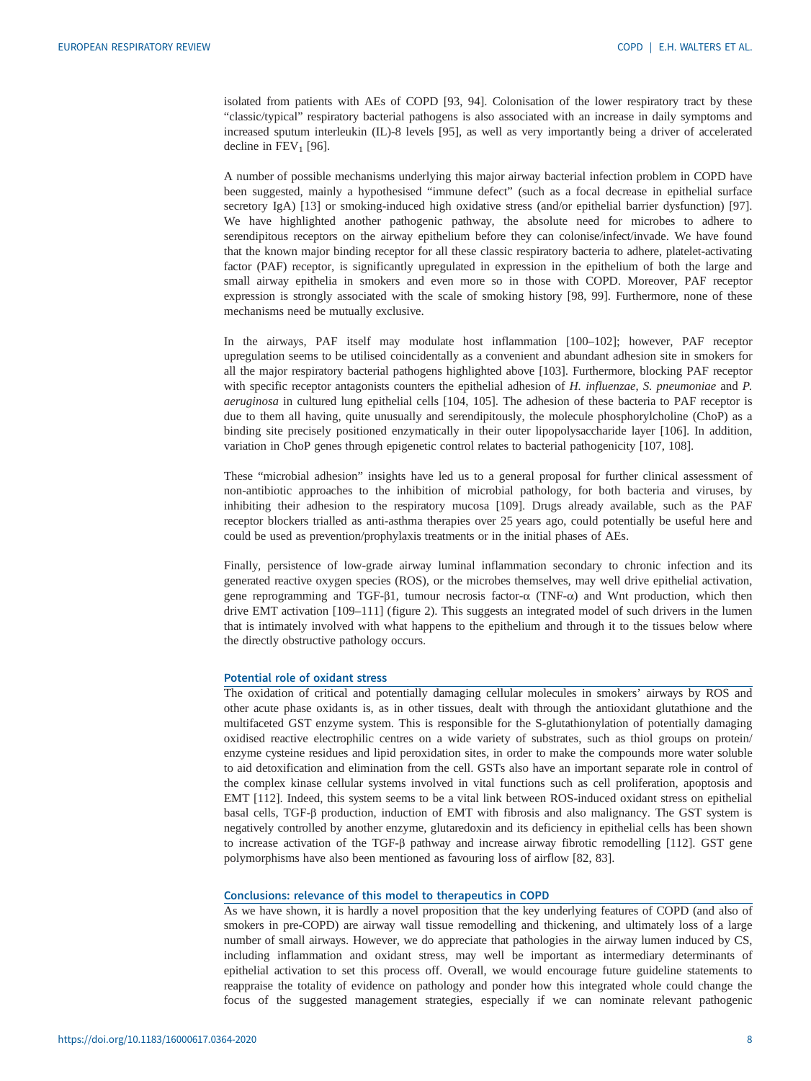isolated from patients with AEs of COPD [[93, 94\]](#page-13-0). Colonisation of the lower respiratory tract by these "classic/typical" respiratory bacterial pathogens is also associated with an increase in daily symptoms and increased sputum interleukin (IL)-8 levels [\[95](#page-13-0)], as well as very importantly being a driver of accelerated decline in  $FEV<sub>1</sub>$  [\[96](#page-13-0)].

A number of possible mechanisms underlying this major airway bacterial infection problem in COPD have been suggested, mainly a hypothesised "immune defect" (such as a focal decrease in epithelial surface secretory IgA) [[13\]](#page-10-0) or smoking-induced high oxidative stress (and/or epithelial barrier dysfunction) [[97\]](#page-13-0). We have highlighted another pathogenic pathway, the absolute need for microbes to adhere to serendipitous receptors on the airway epithelium before they can colonise/infect/invade. We have found that the known major binding receptor for all these classic respiratory bacteria to adhere, platelet-activating factor (PAF) receptor, is significantly upregulated in expression in the epithelium of both the large and small airway epithelia in smokers and even more so in those with COPD. Moreover, PAF receptor expression is strongly associated with the scale of smoking history [[98, 99\]](#page-13-0). Furthermore, none of these mechanisms need be mutually exclusive.

In the airways, PAF itself may modulate host inflammation [[100](#page-13-0)–[102](#page-13-0)]; however, PAF receptor upregulation seems to be utilised coincidentally as a convenient and abundant adhesion site in smokers for all the major respiratory bacterial pathogens highlighted above [[103](#page-13-0)]. Furthermore, blocking PAF receptor with specific receptor antagonists counters the epithelial adhesion of H. influenzae, S. pneumoniae and P. aeruginosa in cultured lung epithelial cells [\[104, 105](#page-13-0)]. The adhesion of these bacteria to PAF receptor is due to them all having, quite unusually and serendipitously, the molecule phosphorylcholine (ChoP) as a binding site precisely positioned enzymatically in their outer lipopolysaccharide layer [[106](#page-13-0)]. In addition, variation in ChoP genes through epigenetic control relates to bacterial pathogenicity [[107](#page-13-0), [108\]](#page-13-0).

These "microbial adhesion" insights have led us to a general proposal for further clinical assessment of non-antibiotic approaches to the inhibition of microbial pathology, for both bacteria and viruses, by inhibiting their adhesion to the respiratory mucosa [\[109\]](#page-13-0). Drugs already available, such as the PAF receptor blockers trialled as anti-asthma therapies over 25 years ago, could potentially be useful here and could be used as prevention/prophylaxis treatments or in the initial phases of AEs.

Finally, persistence of low-grade airway luminal inflammation secondary to chronic infection and its generated reactive oxygen species (ROS), or the microbes themselves, may well drive epithelial activation, gene reprogramming and TGF-β1, tumour necrosis factor- $\alpha$  (TNF- $\alpha$ ) and Wnt production, which then drive EMT activation [\[109](#page-13-0)–[111\]](#page-13-0) [\(figure 2](#page-8-0)). This suggests an integrated model of such drivers in the lumen that is intimately involved with what happens to the epithelium and through it to the tissues below where the directly obstructive pathology occurs.

#### Potential role of oxidant stress

The oxidation of critical and potentially damaging cellular molecules in smokers' airways by ROS and other acute phase oxidants is, as in other tissues, dealt with through the antioxidant glutathione and the multifaceted GST enzyme system. This is responsible for the S-glutathionylation of potentially damaging oxidised reactive electrophilic centres on a wide variety of substrates, such as thiol groups on protein/ enzyme cysteine residues and lipid peroxidation sites, in order to make the compounds more water soluble to aid detoxification and elimination from the cell. GSTs also have an important separate role in control of the complex kinase cellular systems involved in vital functions such as cell proliferation, apoptosis and EMT [\[112\]](#page-14-0). Indeed, this system seems to be a vital link between ROS-induced oxidant stress on epithelial basal cells, TGF-β production, induction of EMT with fibrosis and also malignancy. The GST system is negatively controlled by another enzyme, glutaredoxin and its deficiency in epithelial cells has been shown to increase activation of the TGF-β pathway and increase airway fibrotic remodelling [\[112\]](#page-14-0). GST gene polymorphisms have also been mentioned as favouring loss of airflow [[82, 83\]](#page-12-0).

#### Conclusions: relevance of this model to therapeutics in COPD

As we have shown, it is hardly a novel proposition that the key underlying features of COPD (and also of smokers in pre-COPD) are airway wall tissue remodelling and thickening, and ultimately loss of a large number of small airways. However, we do appreciate that pathologies in the airway lumen induced by CS, including inflammation and oxidant stress, may well be important as intermediary determinants of epithelial activation to set this process off. Overall, we would encourage future guideline statements to reappraise the totality of evidence on pathology and ponder how this integrated whole could change the focus of the suggested management strategies, especially if we can nominate relevant pathogenic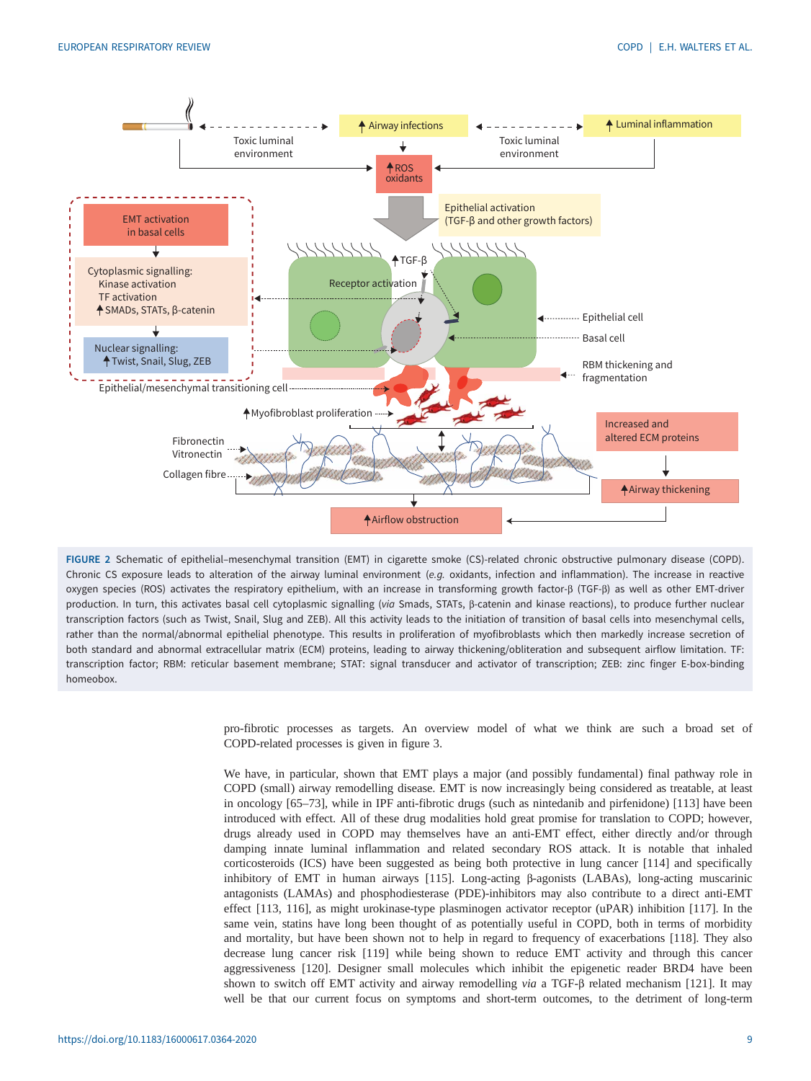<span id="page-8-0"></span>

FIGURE 2 Schematic of epithelial–mesenchymal transition (EMT) in cigarette smoke (CS)-related chronic obstructive pulmonary disease (COPD). Chronic CS exposure leads to alteration of the airway luminal environment (e.g. oxidants, infection and inflammation). The increase in reactive oxygen species (ROS) activates the respiratory epithelium, with an increase in transforming growth factor-β (TGF-β) as well as other EMT-driver production. In turn, this activates basal cell cytoplasmic signalling (via Smads, STATs, β-catenin and kinase reactions), to produce further nuclear transcription factors (such as Twist, Snail, Slug and ZEB). All this activity leads to the initiation of transition of basal cells into mesenchymal cells, rather than the normal/abnormal epithelial phenotype. This results in proliferation of myofibroblasts which then markedly increase secretion of both standard and abnormal extracellular matrix (ECM) proteins, leading to airway thickening/obliteration and subsequent airflow limitation. TF: transcription factor; RBM: reticular basement membrane; STAT: signal transducer and activator of transcription; ZEB: zinc finger E-box-binding homeobox.

> pro-fibrotic processes as targets. An overview model of what we think are such a broad set of COPD-related processes is given in [figure 3.](#page-9-0)

> We have, in particular, shown that EMT plays a major (and possibly fundamental) final pathway role in COPD (small) airway remodelling disease. EMT is now increasingly being considered as treatable, at least in oncology [\[65](#page-12-0)–[73\]](#page-12-0), while in IPF anti-fibrotic drugs (such as nintedanib and pirfenidone) [\[113\]](#page-14-0) have been introduced with effect. All of these drug modalities hold great promise for translation to COPD; however, drugs already used in COPD may themselves have an anti-EMT effect, either directly and/or through damping innate luminal inflammation and related secondary ROS attack. It is notable that inhaled corticosteroids (ICS) have been suggested as being both protective in lung cancer [\[114\]](#page-14-0) and specifically inhibitory of EMT in human airways [\[115\]](#page-14-0). Long-acting β-agonists (LABAs), long-acting muscarinic antagonists (LAMAs) and phosphodiesterase (PDE)-inhibitors may also contribute to a direct anti-EMT effect [\[113, 116\]](#page-14-0), as might urokinase-type plasminogen activator receptor (uPAR) inhibition [\[117\]](#page-14-0). In the same vein, statins have long been thought of as potentially useful in COPD, both in terms of morbidity and mortality, but have been shown not to help in regard to frequency of exacerbations [\[118](#page-14-0)]. They also decrease lung cancer risk [\[119\]](#page-14-0) while being shown to reduce EMT activity and through this cancer aggressiveness [[120](#page-14-0)]. Designer small molecules which inhibit the epigenetic reader BRD4 have been shown to switch off EMT activity and airway remodelling via a TGF-β related mechanism [[121](#page-14-0)]. It may well be that our current focus on symptoms and short-term outcomes, to the detriment of long-term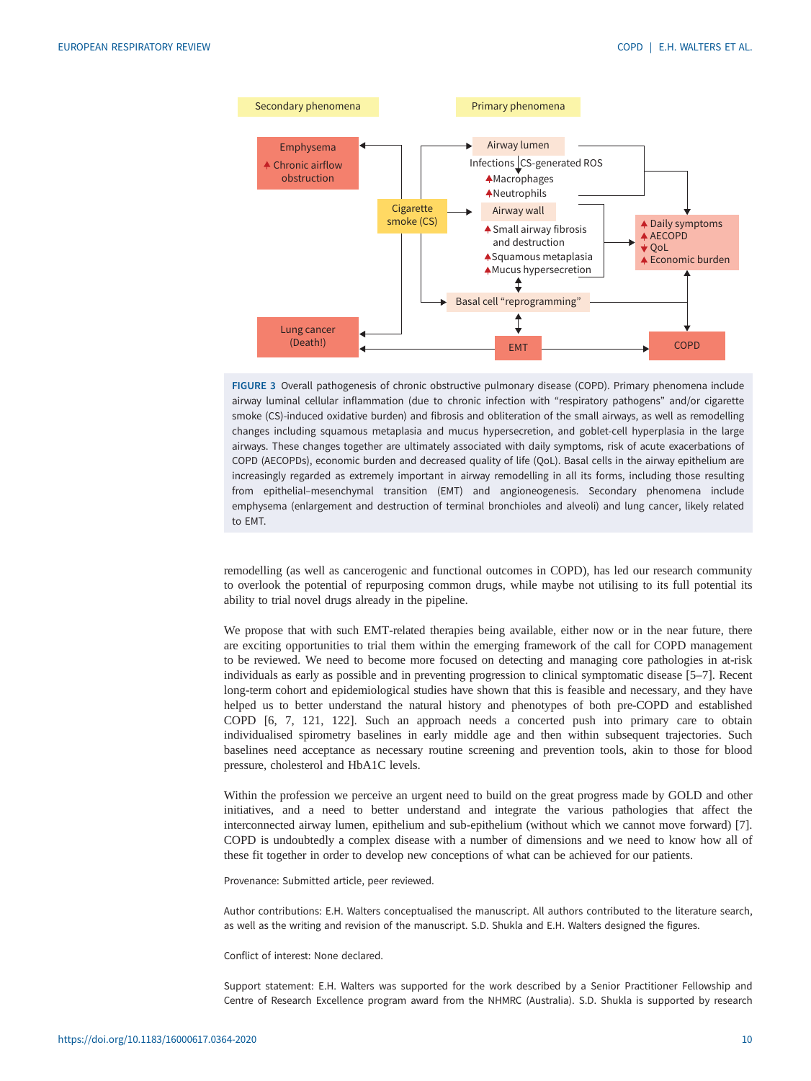<span id="page-9-0"></span>

FIGURE 3 Overall pathogenesis of chronic obstructive pulmonary disease (COPD). Primary phenomena include airway luminal cellular inflammation (due to chronic infection with "respiratory pathogens" and/or cigarette smoke (CS)-induced oxidative burden) and fibrosis and obliteration of the small airways, as well as remodelling changes including squamous metaplasia and mucus hypersecretion, and goblet-cell hyperplasia in the large airways. These changes together are ultimately associated with daily symptoms, risk of acute exacerbations of COPD (AECOPDs), economic burden and decreased quality of life (QoL). Basal cells in the airway epithelium are increasingly regarded as extremely important in airway remodelling in all its forms, including those resulting from epithelial–mesenchymal transition (EMT) and angioneogenesis. Secondary phenomena include emphysema (enlargement and destruction of terminal bronchioles and alveoli) and lung cancer, likely related to EMT.

remodelling (as well as cancerogenic and functional outcomes in COPD), has led our research community to overlook the potential of repurposing common drugs, while maybe not utilising to its full potential its ability to trial novel drugs already in the pipeline.

We propose that with such EMT-related therapies being available, either now or in the near future, there are exciting opportunities to trial them within the emerging framework of the call for COPD management to be reviewed. We need to become more focused on detecting and managing core pathologies in at-risk individuals as early as possible and in preventing progression to clinical symptomatic disease [[5](#page-10-0)–[7](#page-10-0)]. Recent long-term cohort and epidemiological studies have shown that this is feasible and necessary, and they have helped us to better understand the natural history and phenotypes of both pre-COPD and established COPD [[6](#page-10-0), [7](#page-10-0), [121, 122](#page-14-0)]. Such an approach needs a concerted push into primary care to obtain individualised spirometry baselines in early middle age and then within subsequent trajectories. Such baselines need acceptance as necessary routine screening and prevention tools, akin to those for blood pressure, cholesterol and HbA1C levels.

Within the profession we perceive an urgent need to build on the great progress made by GOLD and other initiatives, and a need to better understand and integrate the various pathologies that affect the interconnected airway lumen, epithelium and sub-epithelium (without which we cannot move forward) [\[7\]](#page-10-0). COPD is undoubtedly a complex disease with a number of dimensions and we need to know how all of these fit together in order to develop new conceptions of what can be achieved for our patients.

Provenance: Submitted article, peer reviewed.

Author contributions: E.H. Walters conceptualised the manuscript. All authors contributed to the literature search, as well as the writing and revision of the manuscript. S.D. Shukla and E.H. Walters designed the figures.

Conflict of interest: None declared.

Support statement: E.H. Walters was supported for the work described by a Senior Practitioner Fellowship and Centre of Research Excellence program award from the NHMRC (Australia). S.D. Shukla is supported by research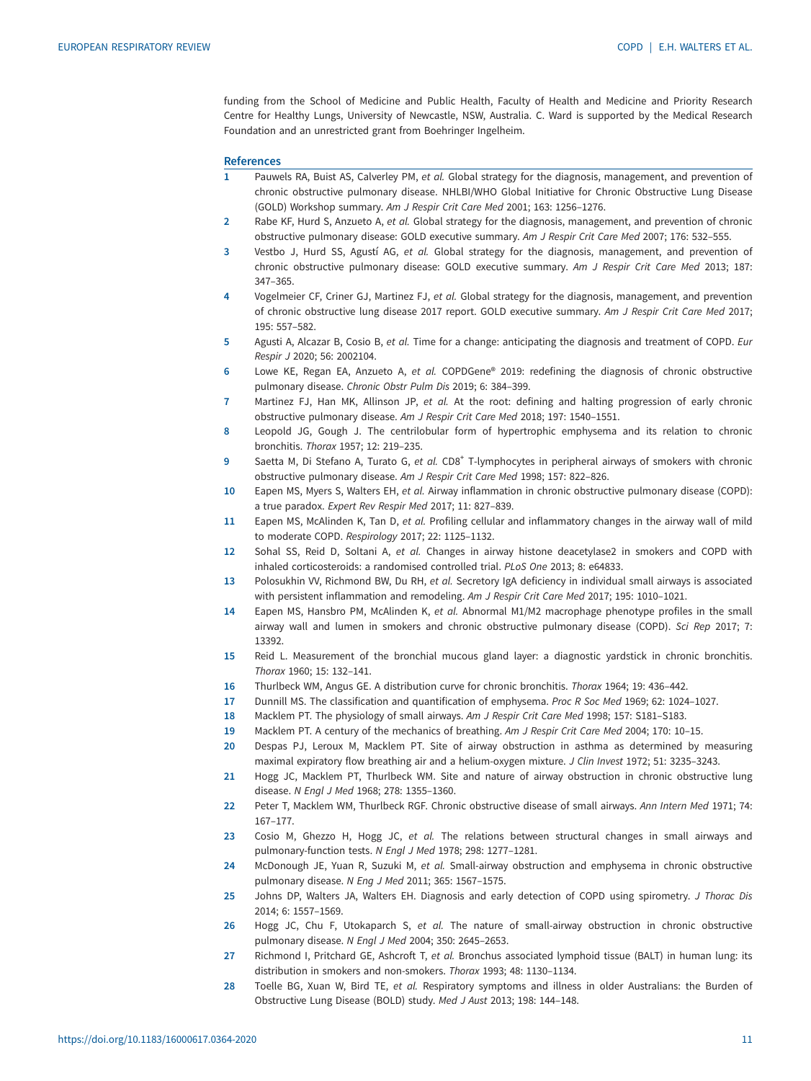<span id="page-10-0"></span>funding from the School of Medicine and Public Health, Faculty of Health and Medicine and Priority Research Centre for Healthy Lungs, University of Newcastle, NSW, Australia. C. Ward is supported by the Medical Research Foundation and an unrestricted grant from Boehringer Ingelheim.

#### **References**

- 1 Pauwels RA, Buist AS, Calverley PM, et al. Global strategy for the diagnosis, management, and prevention of chronic obstructive pulmonary disease. NHLBI/WHO Global Initiative for Chronic Obstructive Lung Disease (GOLD) Workshop summary. Am J Respir Crit Care Med 2001; 163: 1256–1276.
- 2 Rabe KF, Hurd S, Anzueto A, et al. Global strategy for the diagnosis, management, and prevention of chronic obstructive pulmonary disease: GOLD executive summary. Am J Respir Crit Care Med 2007; 176: 532–555.
- 3 Vestbo J, Hurd SS, Agustí AG, et al. Global strategy for the diagnosis, management, and prevention of chronic obstructive pulmonary disease: GOLD executive summary. Am J Respir Crit Care Med 2013; 187: 347–365.
- 4 Vogelmeier CF, Criner GJ, Martinez FJ, et al. Global strategy for the diagnosis, management, and prevention of chronic obstructive lung disease 2017 report. GOLD executive summary. Am J Respir Crit Care Med 2017; 195: 557–582.
- 5 Agusti A, Alcazar B, Cosio B, et al. Time for a change: anticipating the diagnosis and treatment of COPD. Eur Respir J 2020; 56: 2002104.
- 6 Lowe KE, Regan EA, Anzueto A, et al. COPDGene® 2019: redefining the diagnosis of chronic obstructive pulmonary disease. Chronic Obstr Pulm Dis 2019; 6: 384–399.
- 7 Martinez FJ, Han MK, Allinson JP, et al. At the root: defining and halting progression of early chronic obstructive pulmonary disease. Am J Respir Crit Care Med 2018; 197: 1540–1551.
- 8 Leopold JG, Gough J. The centrilobular form of hypertrophic emphysema and its relation to chronic bronchitis. Thorax 1957; 12: 219–235.
- 9 Saetta M, Di Stefano A, Turato G, et al. CD8<sup>+</sup> T-lymphocytes in peripheral airways of smokers with chronic obstructive pulmonary disease. Am J Respir Crit Care Med 1998; 157: 822–826.
- 10 Eapen MS, Myers S, Walters EH, et al. Airway inflammation in chronic obstructive pulmonary disease (COPD): a true paradox. Expert Rev Respir Med 2017; 11: 827–839.
- 11 Eapen MS, McAlinden K, Tan D, et al. Profiling cellular and inflammatory changes in the airway wall of mild to moderate COPD. Respirology 2017; 22: 1125–1132.
- 12 Sohal SS, Reid D, Soltani A, et al. Changes in airway histone deacetylase2 in smokers and COPD with inhaled corticosteroids: a randomised controlled trial. PLoS One 2013; 8: e64833.
- 13 Polosukhin VV, Richmond BW, Du RH, et al. Secretory IgA deficiency in individual small airways is associated with persistent inflammation and remodeling. Am J Respir Crit Care Med 2017; 195: 1010-1021.
- 14 Eapen MS, Hansbro PM, McAlinden K, et al. Abnormal M1/M2 macrophage phenotype profiles in the small airway wall and lumen in smokers and chronic obstructive pulmonary disease (COPD). Sci Rep 2017; 7: 13392.
- 15 Reid L. Measurement of the bronchial mucous gland layer: a diagnostic yardstick in chronic bronchitis. Thorax 1960; 15: 132–141.
- 16 Thurlbeck WM, Angus GE. A distribution curve for chronic bronchitis. Thorax 1964; 19: 436–442.
- 17 Dunnill MS. The classification and quantification of emphysema. Proc R Soc Med 1969; 62: 1024–1027.
- 18 Macklem PT. The physiology of small airways. Am J Respir Crit Care Med 1998; 157: S181–S183.
- 19 Macklem PT. A century of the mechanics of breathing. Am J Respir Crit Care Med 2004; 170: 10–15.
- 20 Despas PJ, Leroux M, Macklem PT. Site of airway obstruction in asthma as determined by measuring maximal expiratory flow breathing air and a helium-oxygen mixture. J Clin Invest 1972; 51: 3235–3243.
- 21 Hogg JC, Macklem PT, Thurlbeck WM. Site and nature of airway obstruction in chronic obstructive lung disease. N Engl J Med 1968; 278: 1355–1360.
- 22 Peter T, Macklem WM, Thurlbeck RGF. Chronic obstructive disease of small airways. Ann Intern Med 1971; 74: 167–177.
- 23 Cosio M, Ghezzo H, Hogg JC, et al. The relations between structural changes in small airways and pulmonary-function tests. N Engl J Med 1978; 298: 1277–1281.
- 24 McDonough JE, Yuan R, Suzuki M, et al. Small-airway obstruction and emphysema in chronic obstructive pulmonary disease. N Eng J Med 2011; 365: 1567–1575.
- 25 Johns DP, Walters JA, Walters EH. Diagnosis and early detection of COPD using spirometry. J Thorac Dis 2014; 6: 1557–1569.
- 26 Hogg JC, Chu F, Utokaparch S, et al. The nature of small-airway obstruction in chronic obstructive pulmonary disease. N Engl J Med 2004; 350: 2645–2653.
- 27 Richmond I, Pritchard GE, Ashcroft T, et al. Bronchus associated lymphoid tissue (BALT) in human lung: its distribution in smokers and non-smokers. Thorax 1993; 48: 1130–1134.
- 28 Toelle BG, Xuan W, Bird TE, et al. Respiratory symptoms and illness in older Australians: the Burden of Obstructive Lung Disease (BOLD) study. Med J Aust 2013; 198: 144–148.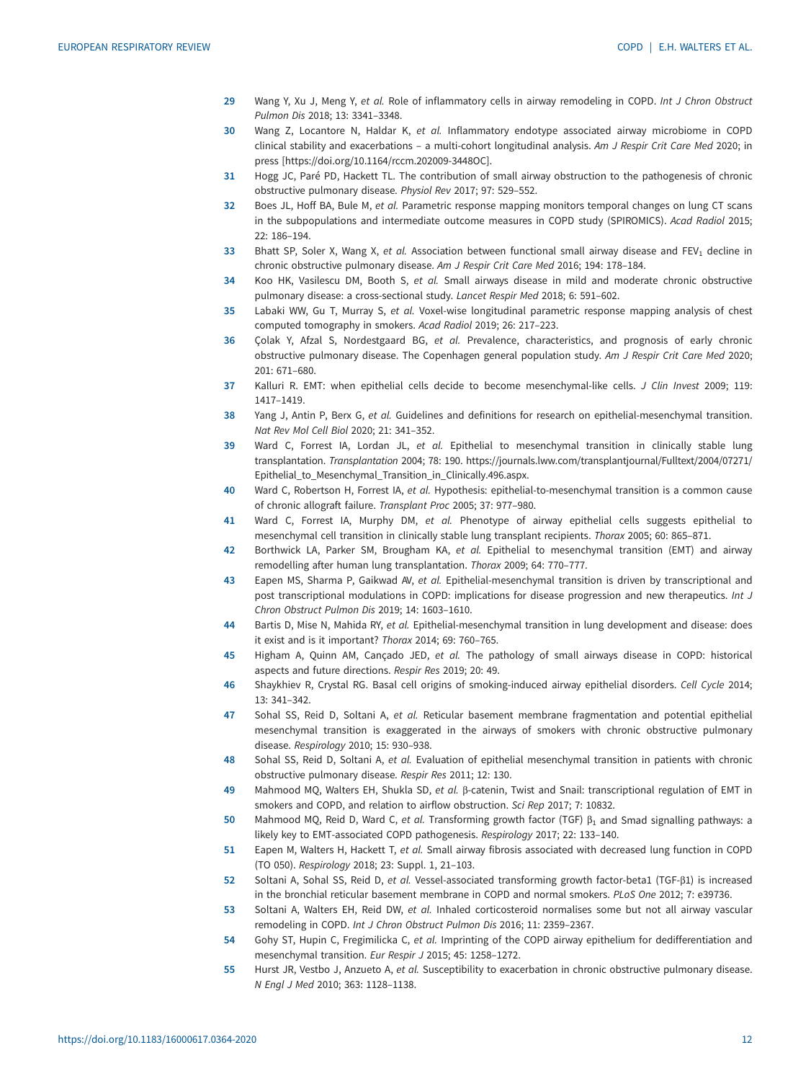- <span id="page-11-0"></span>29 Wang Y, Xu J, Meng Y, et al. Role of inflammatory cells in airway remodeling in COPD. Int J Chron Obstruct Pulmon Dis 2018; 13: 3341–3348.
- 30 Wang Z, Locantore N, Haldar K, et al. Inflammatory endotype associated airway microbiome in COPD clinical stability and exacerbations – a multi-cohort longitudinal analysis. Am J Respir Crit Care Med 2020; in press [\[https://doi.org/10.1164/rccm.202009-3448OC](https://doi.org/10.1164/rccm.202009-3448OC)].
- 31 Hogg JC, Paré PD, Hackett TL. The contribution of small airway obstruction to the pathogenesis of chronic obstructive pulmonary disease. Physiol Rev 2017; 97: 529–552.
- 32 Boes JL, Hoff BA, Bule M, et al. Parametric response mapping monitors temporal changes on lung CT scans in the subpopulations and intermediate outcome measures in COPD study (SPIROMICS). Acad Radiol 2015; 22: 186–194.
- 33 Bhatt SP, Soler X, Wang X, et al. Association between functional small airway disease and FEV<sub>1</sub> decline in chronic obstructive pulmonary disease. Am J Respir Crit Care Med 2016; 194: 178–184.
- 34 Koo HK, Vasilescu DM, Booth S, et al. Small airways disease in mild and moderate chronic obstructive pulmonary disease: a cross-sectional study. Lancet Respir Med 2018; 6: 591–602.
- 35 Labaki WW, Gu T, Murray S, et al. Voxel-wise longitudinal parametric response mapping analysis of chest computed tomography in smokers. Acad Radiol 2019; 26: 217–223.
- 36 Çolak Y, Afzal S, Nordestgaard BG, et al. Prevalence, characteristics, and prognosis of early chronic obstructive pulmonary disease. The Copenhagen general population study. Am J Respir Crit Care Med 2020; 201: 671–680.
- 37 Kalluri R. EMT: when epithelial cells decide to become mesenchymal-like cells. J Clin Invest 2009; 119: 1417–1419.
- 38 Yang J, Antin P, Berx G, et al. Guidelines and definitions for research on epithelial-mesenchymal transition. Nat Rev Mol Cell Biol 2020; 21: 341–352.
- 39 Ward C, Forrest IA, Lordan JL, et al. Epithelial to mesenchymal transition in clinically stable lung transplantation. Transplantation 2004; 78: 190. [https://journals.lww.com/transplantjournal/Fulltext/2004/07271/](https://journals.lww.com/transplantjournal/Fulltext/2004/07271/Epithelial_to_Mesenchymal_Transition_in_Clinically.496.aspx) [Epithelial\\_to\\_Mesenchymal\\_Transition\\_in\\_Clinically.496.aspx.](https://journals.lww.com/transplantjournal/Fulltext/2004/07271/Epithelial_to_Mesenchymal_Transition_in_Clinically.496.aspx)
- 40 Ward C, Robertson H, Forrest IA, et al. Hypothesis: epithelial-to-mesenchymal transition is a common cause of chronic allograft failure. Transplant Proc 2005; 37: 977–980.
- 41 Ward C, Forrest IA, Murphy DM, et al. Phenotype of airway epithelial cells suggests epithelial to mesenchymal cell transition in clinically stable lung transplant recipients. Thorax 2005; 60: 865–871.
- 42 Borthwick LA, Parker SM, Brougham KA, et al. Epithelial to mesenchymal transition (EMT) and airway remodelling after human lung transplantation. Thorax 2009; 64: 770–777.
- 43 Eapen MS, Sharma P, Gaikwad AV, et al. Epithelial-mesenchymal transition is driven by transcriptional and post transcriptional modulations in COPD: implications for disease progression and new therapeutics. Int J Chron Obstruct Pulmon Dis 2019; 14: 1603–1610.
- 44 Bartis D, Mise N, Mahida RY, et al. Epithelial-mesenchymal transition in lung development and disease: does it exist and is it important? Thorax 2014; 69: 760–765.
- 45 Higham A, Quinn AM, Cançado JED, et al. The pathology of small airways disease in COPD: historical aspects and future directions. Respir Res 2019; 20: 49.
- 46 Shaykhiev R, Crystal RG. Basal cell origins of smoking-induced airway epithelial disorders. Cell Cycle 2014; 13: 341–342.
- 47 Sohal SS, Reid D, Soltani A, et al. Reticular basement membrane fragmentation and potential epithelial mesenchymal transition is exaggerated in the airways of smokers with chronic obstructive pulmonary disease. Respirology 2010; 15: 930–938.
- 48 Sohal SS, Reid D, Soltani A, et al. Evaluation of epithelial mesenchymal transition in patients with chronic obstructive pulmonary disease. Respir Res 2011; 12: 130.
- 49 Mahmood MQ, Walters EH, Shukla SD, et al. β-catenin, Twist and Snail: transcriptional regulation of EMT in smokers and COPD, and relation to airflow obstruction. Sci Rep 2017; 7: 10832.
- 50 Mahmood MQ, Reid D, Ward C, et al. Transforming growth factor (TGF)  $\beta_1$  and Smad signalling pathways: a likely key to EMT-associated COPD pathogenesis. Respirology 2017; 22: 133–140.
- 51 Eapen M, Walters H, Hackett T, et al. Small airway fibrosis associated with decreased lung function in COPD (TO 050). Respirology 2018; 23: Suppl. 1, 21–103.
- 52 Soltani A, Sohal SS, Reid D, et al. Vessel-associated transforming growth factor-beta1 (TGF-β1) is increased in the bronchial reticular basement membrane in COPD and normal smokers. PLoS One 2012; 7: e39736.
- 53 Soltani A, Walters EH, Reid DW, et al. Inhaled corticosteroid normalises some but not all airway vascular remodeling in COPD. Int J Chron Obstruct Pulmon Dis 2016; 11: 2359–2367.
- 54 Gohy ST, Hupin C, Fregimilicka C, et al. Imprinting of the COPD airway epithelium for dedifferentiation and mesenchymal transition. Eur Respir J 2015; 45: 1258–1272.
- 55 Hurst JR, Vestbo J, Anzueto A, et al. Susceptibility to exacerbation in chronic obstructive pulmonary disease. N Engl J Med 2010; 363: 1128–1138.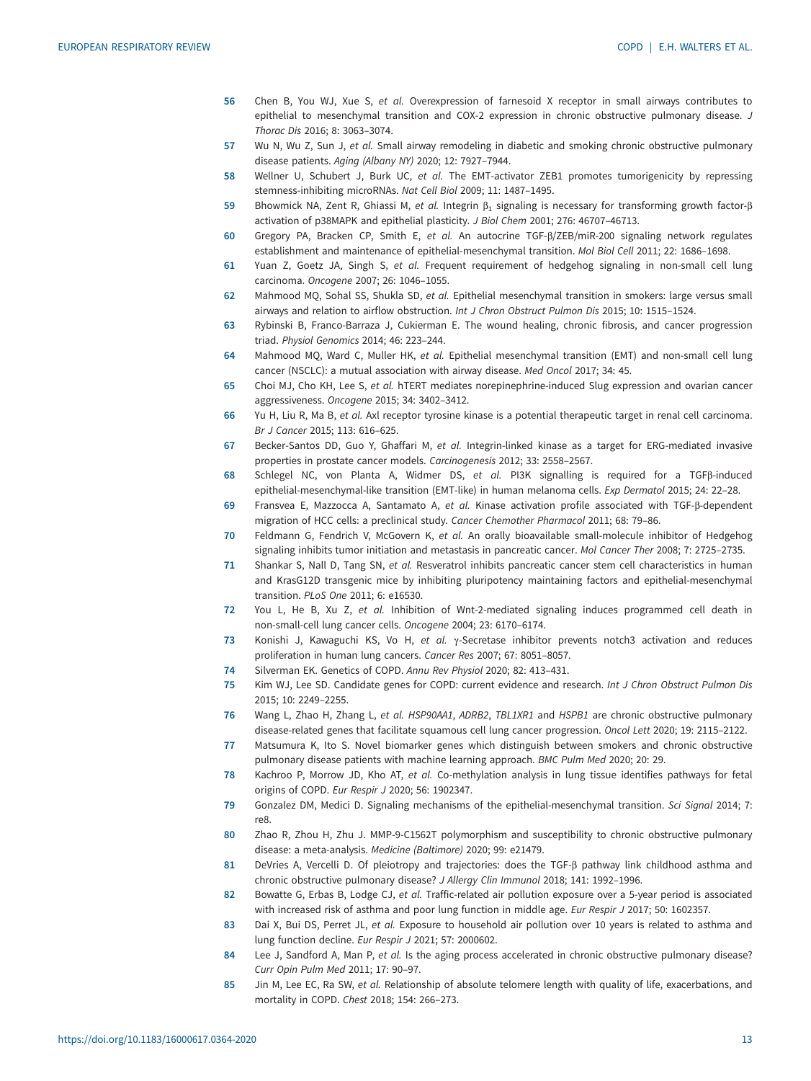- <span id="page-12-0"></span>56 Chen B, You WJ, Xue S, et al. Overexpression of farnesoid X receptor in small airways contributes to epithelial to mesenchymal transition and COX-2 expression in chronic obstructive pulmonary disease. J Thorac Dis 2016; 8: 3063–3074.
- 57 Wu N, Wu Z, Sun J, et al. Small airway remodeling in diabetic and smoking chronic obstructive pulmonary disease patients. Aging (Albany NY) 2020; 12: 7927–7944.
- 58 Wellner U, Schubert J, Burk UC, et al. The EMT-activator ZEB1 promotes tumorigenicity by repressing stemness-inhibiting microRNAs. Nat Cell Biol 2009; 11: 1487–1495.
- 59 Bhowmick NA, Zent R, Ghiassi M, et al. Integrin  $\beta_1$  signaling is necessary for transforming growth factor-β activation of p38MAPK and epithelial plasticity. J Biol Chem 2001; 276: 46707–46713.
- 60 Gregory PA, Bracken CP, Smith E, et al. An autocrine TGF-β/ZEB/miR-200 signaling network regulates establishment and maintenance of epithelial-mesenchymal transition. Mol Biol Cell 2011; 22: 1686–1698.
- 61 Yuan Z, Goetz JA, Singh S, et al. Frequent requirement of hedgehog signaling in non-small cell lung carcinoma. Oncogene 2007; 26: 1046–1055.
- 62 Mahmood MQ, Sohal SS, Shukla SD, et al. Epithelial mesenchymal transition in smokers: large versus small airways and relation to airflow obstruction. Int J Chron Obstruct Pulmon Dis 2015; 10: 1515–1524.
- 63 Rybinski B, Franco-Barraza J, Cukierman E. The wound healing, chronic fibrosis, and cancer progression triad. Physiol Genomics 2014; 46: 223–244.
- 64 Mahmood MQ, Ward C, Muller HK, et al. Epithelial mesenchymal transition (EMT) and non-small cell lung cancer (NSCLC): a mutual association with airway disease. Med Oncol 2017; 34: 45.
- 65 Choi MJ, Cho KH, Lee S, et al. hTERT mediates norepinephrine-induced Slug expression and ovarian cancer aggressiveness. Oncogene 2015; 34: 3402–3412.
- 66 Yu H, Liu R, Ma B, et al. Axl receptor tyrosine kinase is a potential therapeutic target in renal cell carcinoma. Br J Cancer 2015; 113: 616–625.
- 67 Becker-Santos DD, Guo Y, Ghaffari M, et al. Integrin-linked kinase as a target for ERG-mediated invasive properties in prostate cancer models. Carcinogenesis 2012; 33: 2558–2567.
- 68 Schlegel NC, von Planta A, Widmer DS, et al. PI3K signalling is required for a TGFβ-induced epithelial-mesenchymal-like transition (EMT-like) in human melanoma cells. Exp Dermatol 2015; 24: 22–28.
- 69 Fransvea E, Mazzocca A, Santamato A, et al. Kinase activation profile associated with TGF-β-dependent migration of HCC cells: a preclinical study. Cancer Chemother Pharmacol 2011; 68: 79–86.
- 70 Feldmann G, Fendrich V, McGovern K, et al. An orally bioavailable small-molecule inhibitor of Hedgehog signaling inhibits tumor initiation and metastasis in pancreatic cancer. Mol Cancer Ther 2008; 7: 2725–2735.
- 71 Shankar S, Nall D, Tang SN, et al. Resveratrol inhibits pancreatic cancer stem cell characteristics in human and KrasG12D transgenic mice by inhibiting pluripotency maintaining factors and epithelial-mesenchymal transition. PLoS One 2011; 6: e16530.
- 72 You L, He B, Xu Z, et al. Inhibition of Wnt-2-mediated signaling induces programmed cell death in non-small-cell lung cancer cells. Oncogene 2004; 23: 6170–6174.
- 73 Konishi J, Kawaguchi KS, Vo H, et al. γ-Secretase inhibitor prevents notch3 activation and reduces proliferation in human lung cancers. Cancer Res 2007; 67: 8051–8057.
- 74 Silverman EK. Genetics of COPD. Annu Rev Physiol 2020; 82: 413–431.
- 75 Kim WJ, Lee SD. Candidate genes for COPD: current evidence and research. Int J Chron Obstruct Pulmon Dis 2015; 10: 2249–2255.
- 76 Wang L, Zhao H, Zhang L, et al. HSP90AA1, ADRB2, TBL1XR1 and HSPB1 are chronic obstructive pulmonary disease-related genes that facilitate squamous cell lung cancer progression. Oncol Lett 2020; 19: 2115–2122.
- 77 Matsumura K, Ito S. Novel biomarker genes which distinguish between smokers and chronic obstructive pulmonary disease patients with machine learning approach. BMC Pulm Med 2020; 20: 29.
- 78 Kachroo P, Morrow JD, Kho AT, et al. Co-methylation analysis in lung tissue identifies pathways for fetal origins of COPD. Eur Respir J 2020; 56: 1902347.
- 79 Gonzalez DM, Medici D. Signaling mechanisms of the epithelial-mesenchymal transition. Sci Signal 2014; 7: re8.
- 80 Zhao R, Zhou H, Zhu J. MMP-9-C1562T polymorphism and susceptibility to chronic obstructive pulmonary disease: a meta-analysis. Medicine (Baltimore) 2020; 99: e21479.
- 81 DeVries A, Vercelli D. Of pleiotropy and trajectories: does the TGF-β pathway link childhood asthma and chronic obstructive pulmonary disease? J Allergy Clin Immunol 2018; 141: 1992–1996.
- 82 Bowatte G, Erbas B, Lodge CJ, et al. Traffic-related air pollution exposure over a 5-year period is associated with increased risk of asthma and poor lung function in middle age. Eur Respir J 2017; 50: 1602357.
- 83 Dai X, Bui DS, Perret JL, et al. Exposure to household air pollution over 10 years is related to asthma and lung function decline. Eur Respir J 2021; 57: 2000602.
- 84 Lee J, Sandford A, Man P, et al. Is the aging process accelerated in chronic obstructive pulmonary disease? Curr Opin Pulm Med 2011; 17: 90–97.
- 85 Jin M, Lee EC, Ra SW, et al. Relationship of absolute telomere length with quality of life, exacerbations, and mortality in COPD. Chest 2018; 154: 266–273.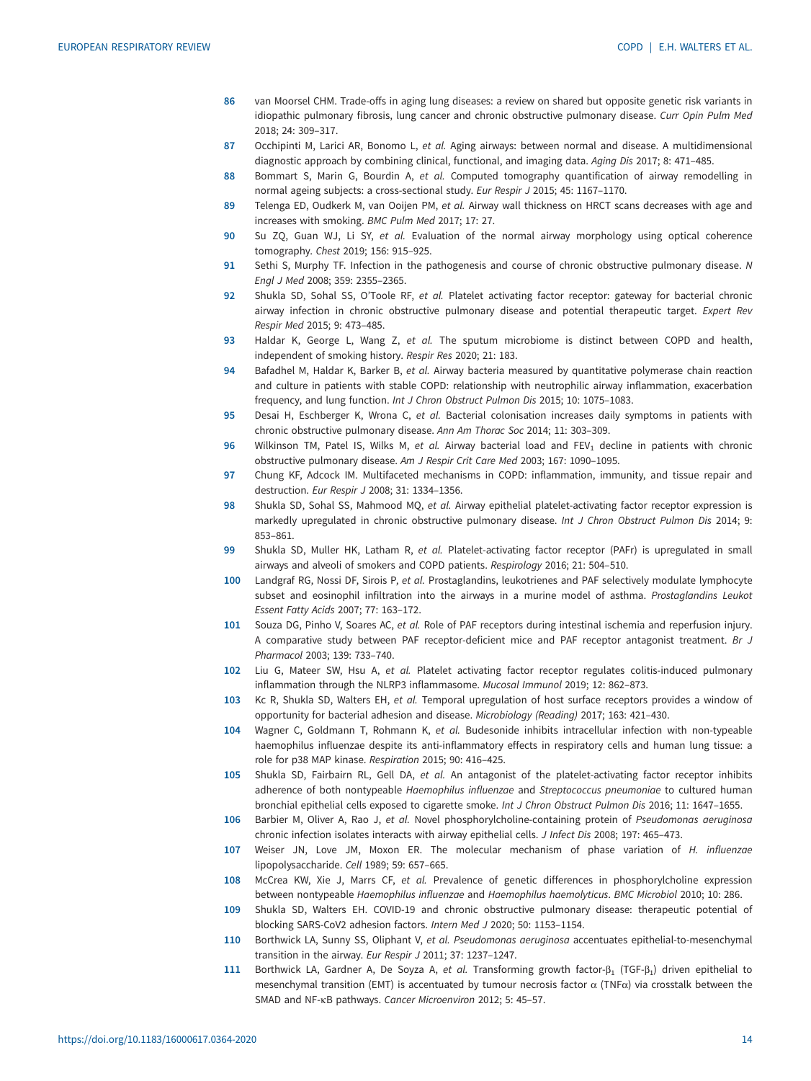- <span id="page-13-0"></span>86 van Moorsel CHM. Trade-offs in aging lung diseases: a review on shared but opposite genetic risk variants in idiopathic pulmonary fibrosis, lung cancer and chronic obstructive pulmonary disease. Curr Opin Pulm Med 2018; 24: 309–317.
- 87 Occhipinti M, Larici AR, Bonomo L, et al. Aging airways: between normal and disease. A multidimensional diagnostic approach by combining clinical, functional, and imaging data. Aging Dis 2017; 8: 471–485.
- 88 Bommart S, Marin G, Bourdin A, et al. Computed tomography quantification of airway remodelling in normal ageing subjects: a cross-sectional study. Eur Respir J 2015; 45: 1167–1170.
- 89 Telenga ED, Oudkerk M, van Ooijen PM, et al. Airway wall thickness on HRCT scans decreases with age and increases with smoking. BMC Pulm Med 2017; 17: 27.
- 90 Su ZQ, Guan WJ, Li SY, et al. Evaluation of the normal airway morphology using optical coherence tomography. Chest 2019; 156: 915–925.
- 91 Sethi S, Murphy TF. Infection in the pathogenesis and course of chronic obstructive pulmonary disease. N Engl J Med 2008; 359: 2355–2365.
- 92 Shukla SD, Sohal SS, O'Toole RF, et al. Platelet activating factor receptor: gateway for bacterial chronic airway infection in chronic obstructive pulmonary disease and potential therapeutic target. Expert Rev Respir Med 2015; 9: 473–485.
- 93 Haldar K, George L, Wang Z, et al. The sputum microbiome is distinct between COPD and health, independent of smoking history. Respir Res 2020; 21: 183.
- 94 Bafadhel M, Haldar K, Barker B, et al. Airway bacteria measured by quantitative polymerase chain reaction and culture in patients with stable COPD: relationship with neutrophilic airway inflammation, exacerbation frequency, and lung function. Int J Chron Obstruct Pulmon Dis 2015; 10: 1075–1083.
- 95 Desai H, Eschberger K, Wrona C, et al. Bacterial colonisation increases daily symptoms in patients with chronic obstructive pulmonary disease. Ann Am Thorac Soc 2014; 11: 303–309.
- 96 Wilkinson TM, Patel IS, Wilks M, et al. Airway bacterial load and FEV<sub>1</sub> decline in patients with chronic obstructive pulmonary disease. Am J Respir Crit Care Med 2003; 167: 1090–1095.
- 97 Chung KF, Adcock IM. Multifaceted mechanisms in COPD: inflammation, immunity, and tissue repair and destruction. Eur Respir J 2008; 31: 1334–1356.
- 98 Shukla SD, Sohal SS, Mahmood MQ, et al. Airway epithelial platelet-activating factor receptor expression is markedly upregulated in chronic obstructive pulmonary disease. Int J Chron Obstruct Pulmon Dis 2014; 9: 853–861.
- 99 Shukla SD, Muller HK, Latham R, et al. Platelet-activating factor receptor (PAFr) is upregulated in small airways and alveoli of smokers and COPD patients. Respirology 2016; 21: 504–510.
- 100 Landgraf RG, Nossi DF, Sirois P, et al. Prostaglandins, leukotrienes and PAF selectively modulate lymphocyte subset and eosinophil infiltration into the airways in a murine model of asthma. Prostaglandins Leukot Essent Fatty Acids 2007; 77: 163–172.
- 101 Souza DG, Pinho V, Soares AC, et al. Role of PAF receptors during intestinal ischemia and reperfusion injury. A comparative study between PAF receptor-deficient mice and PAF receptor antagonist treatment. Br J Pharmacol 2003; 139: 733–740.
- 102 Liu G, Mateer SW, Hsu A, et al. Platelet activating factor receptor regulates colitis-induced pulmonary inflammation through the NLRP3 inflammasome. Mucosal Immunol 2019; 12: 862–873.
- 103 Kc R, Shukla SD, Walters EH, et al. Temporal upregulation of host surface receptors provides a window of opportunity for bacterial adhesion and disease. Microbiology (Reading) 2017; 163: 421–430.
- 104 Wagner C, Goldmann T, Rohmann K, et al. Budesonide inhibits intracellular infection with non-typeable haemophilus influenzae despite its anti-inflammatory effects in respiratory cells and human lung tissue: a role for p38 MAP kinase. Respiration 2015; 90: 416–425.
- 105 Shukla SD, Fairbairn RL, Gell DA, et al. An antagonist of the platelet-activating factor receptor inhibits adherence of both nontypeable Haemophilus influenzae and Streptococcus pneumoniae to cultured human bronchial epithelial cells exposed to cigarette smoke. Int J Chron Obstruct Pulmon Dis 2016; 11: 1647–1655.
- 106 Barbier M, Oliver A, Rao J, et al. Novel phosphorylcholine-containing protein of Pseudomonas aeruginosa chronic infection isolates interacts with airway epithelial cells. J Infect Dis 2008; 197: 465–473.
- 107 Weiser JN, Love JM, Moxon ER. The molecular mechanism of phase variation of H. influenzae lipopolysaccharide. Cell 1989; 59: 657–665.
- 108 McCrea KW, Xie J, Marrs CF, et al. Prevalence of genetic differences in phosphorylcholine expression between nontypeable Haemophilus influenzae and Haemophilus haemolyticus. BMC Microbiol 2010; 10: 286.
- 109 Shukla SD, Walters EH. COVID-19 and chronic obstructive pulmonary disease: therapeutic potential of blocking SARS-CoV2 adhesion factors. Intern Med J 2020; 50: 1153–1154.
- 110 Borthwick LA, Sunny SS, Oliphant V, et al. Pseudomonas aeruginosa accentuates epithelial-to-mesenchymal transition in the airway. Eur Respir J 2011; 37: 1237–1247.
- 111 Borthwick LA, Gardner A, De Soyza A, et al. Transforming growth factor- $\beta_1$  (TGF- $\beta_1$ ) driven epithelial to mesenchymal transition (EMT) is accentuated by tumour necrosis factor  $α$  (TNF $α$ ) via crosstalk between the SMAD and NF-κB pathways. Cancer Microenviron 2012; 5: 45–57.